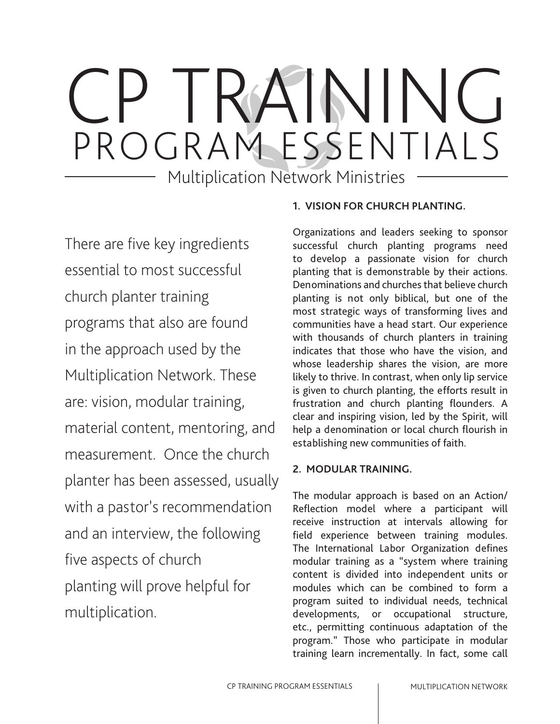# TRAININ PROGRAM ESSENTIALS

Multiplication Network Ministries

There are five key ingredients essential to most successful church planter training programs that also are found in the approach used by the Multiplication Network. These are: vision, modular training, material content, mentoring, and measurement. Once the church planter has been assessed, usually with a pastor's recommendation and an interview, the following five aspects of church planting will prove helpful for multiplication.

# **1. VISION FOR CHURCH PLANTING.**

Organizations and leaders seeking to sponsor successful church planting programs need to develop a passionate vision for church planting that is demonstrable by their actions. Denominations and churches that believe church planting is not only biblical, but one of the most strategic ways of transforming lives and communities have a head start. Our experience with thousands of church planters in training indicates that those who have the vision, and whose leadership shares the vision, are more likely to thrive. In contrast, when only lip service is given to church planting, the efforts result in frustration and church planting flounders. A clear and inspiring vision, led by the Spirit, will help a denomination or local church flourish in establishing new communities of faith.

# **2. MODULAR TRAINING.**

The modular approach is based on an Action/ Reflection model where a participant will receive instruction at intervals allowing for field experience between training modules. The International Labor Organization defines modular training as a "system where training content is divided into independent units or modules which can be combined to form a program suited to individual needs, technical developments, or occupational structure, etc., permitting continuous adaptation of the program." Those who participate in modular training learn incrementally. In fact, some call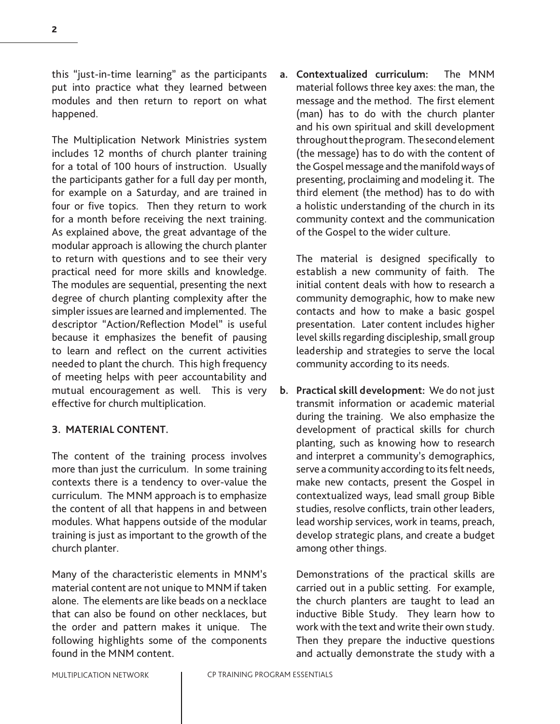this "just-in-time learning" as the participants put into practice what they learned between modules and then return to report on what happened.

The Multiplication Network Ministries system includes 12 months of church planter training for a total of 100 hours of instruction. Usually the participants gather for a full day per month, for example on a Saturday, and are trained in four or five topics. Then they return to work for a month before receiving the next training. As explained above, the great advantage of the modular approach is allowing the church planter to return with questions and to see their very practical need for more skills and knowledge. The modules are sequential, presenting the next degree of church planting complexity after the simpler issues are learned and implemented. The descriptor "Action/Reflection Model" is useful because it emphasizes the benefit of pausing to learn and reflect on the current activities needed to plant the church. This high frequency of meeting helps with peer accountability and mutual encouragement as well. This is very effective for church multiplication.

### **3. MATERIAL CONTENT.**

The content of the training process involves more than just the curriculum. In some training contexts there is a tendency to over-value the curriculum. The MNM approach is to emphasize the content of all that happens in and between modules. What happens outside of the modular training is just as important to the growth of the church planter.

Many of the characteristic elements in MNM's material content are not unique to MNM if taken alone. The elements are like beads on a necklace that can also be found on other necklaces, but the order and pattern makes it unique. The following highlights some of the components found in the MNM content.

**a. Contextualized curriculum:** The MNM material follows three key axes: the man, the message and the method. The first element (man) has to do with the church planter and his own spiritual and skill development throughout the program. The second element (the message) has to do with the content of the Gospel message and the manifold ways of presenting, proclaiming and modeling it. The third element (the method) has to do with a holistic understanding of the church in its community context and the communication of the Gospel to the wider culture.

The material is designed specifically to establish a new community of faith. The initial content deals with how to research a community demographic, how to make new contacts and how to make a basic gospel presentation. Later content includes higher level skills regarding discipleship, small group leadership and strategies to serve the local community according to its needs.

**b. Practical skill development:** We do not just transmit information or academic material during the training. We also emphasize the development of practical skills for church planting, such as knowing how to research and interpret a community's demographics, serve a community according to its felt needs, make new contacts, present the Gospel in contextualized ways, lead small group Bible studies, resolve conflicts, train other leaders, lead worship services, work in teams, preach, develop strategic plans, and create a budget among other things.

Demonstrations of the practical skills are carried out in a public setting. For example, the church planters are taught to lead an inductive Bible Study. They learn how to work with the text and write their own study. Then they prepare the inductive questions and actually demonstrate the study with a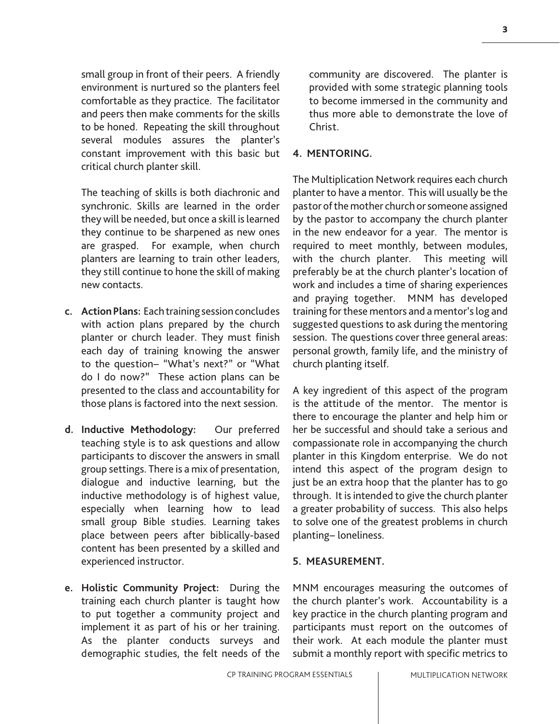small group in front of their peers. A friendly environment is nurtured so the planters feel comfortable as they practice. The facilitator and peers then make comments for the skills to be honed. Repeating the skill throughout several modules assures the planter's constant improvement with this basic but critical church planter skill.

The teaching of skills is both diachronic and synchronic. Skills are learned in the order they will be needed, but once a skill is learned they continue to be sharpened as new ones are grasped. For example, when church planters are learning to train other leaders, they still continue to hone the skill of making new contacts.

- **c. Action Plans:** Each training session concludes with action plans prepared by the church planter or church leader. They must finish each day of training knowing the answer to the question− "What's next?" or "What do I do now?" These action plans can be presented to the class and accountability for those plans is factored into the next session.
- **d. Inductive Methodology:** Our preferred teaching style is to ask questions and allow participants to discover the answers in small group settings. There is a mix of presentation, dialogue and inductive learning, but the inductive methodology is of highest value, especially when learning how to lead small group Bible studies. Learning takes place between peers after biblically-based content has been presented by a skilled and experienced instructor.
- **e. Holistic Community Project:** During the training each church planter is taught how to put together a community project and implement it as part of his or her training. As the planter conducts surveys and demographic studies, the felt needs of the

community are discovered. The planter is provided with some strategic planning tools to become immersed in the community and thus more able to demonstrate the love of Christ.

# **4. MENTORING.**

The Multiplication Network requires each church planter to have a mentor. This will usually be the pastor of the mother church or someone assigned by the pastor to accompany the church planter in the new endeavor for a year. The mentor is required to meet monthly, between modules, with the church planter. This meeting will preferably be at the church planter's location of work and includes a time of sharing experiences and praying together. MNM has developed training for these mentors and a mentor's log and suggested questions to ask during the mentoring session. The questions cover three general areas: personal growth, family life, and the ministry of church planting itself.

A key ingredient of this aspect of the program is the attitude of the mentor. The mentor is there to encourage the planter and help him or her be successful and should take a serious and compassionate role in accompanying the church planter in this Kingdom enterprise. We do not intend this aspect of the program design to just be an extra hoop that the planter has to go through. It is intended to give the church planter a greater probability of success. This also helps to solve one of the greatest problems in church planting− loneliness.

## **5. MEASUREMENT.**

MNM encourages measuring the outcomes of the church planter's work. Accountability is a key practice in the church planting program and participants must report on the outcomes of their work. At each module the planter must submit a monthly report with specific metrics to